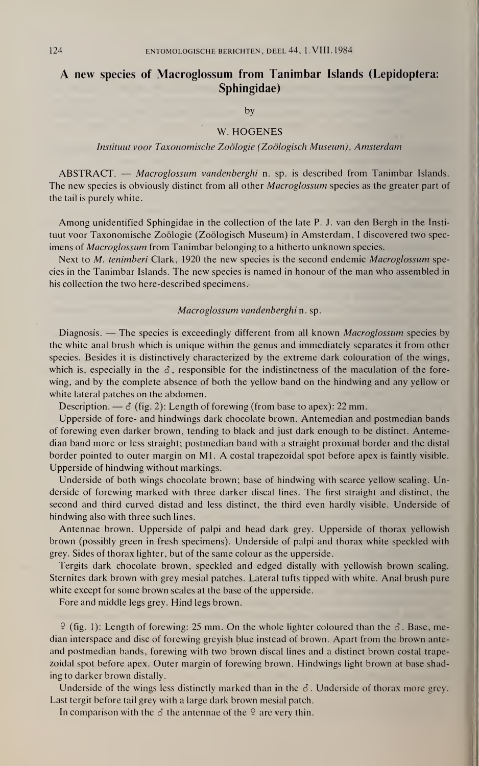## A new species of Macroglossum from Tanimbar Islands (Lepidoptera: Sphingidae)

by

## W. HOGENES

## Instituut voor Taxonomische Zoölogie (Zoölogisch Museum), Amsterdam

ABSTRACT. — Macroglossum vandenberghi n. sp. is described from Tanimbar Islands. The new species is obviously distinct from all other *Macroglossum* species as the greater part of the tail is purely white.

Among unidentified Sphingidae in the collection of the late P. J. van den Bergh in the Instituut voor Taxonomische Zoölogie (Zoölogisch Museum) in Amsterdam, I discovered two specimens of *Macroglossum* from Tanimbar belonging to a hitherto unknown species.

Next to M. tenimberi Clark, 1920 the new species is the second endemic Macroglossum species in the Tanimbar Islands. The new species is named in honour of the man who assembled in his collection the two here-described specimens.

## Macroglossum vandenberghi n. sp.

Diagnosis. — The species is exceedingly different from all known *Macroglossum* species by the white anal brush which is unique within the genus and immediately separates it from other species. Besides it is distinctively characterized by the extreme dark colouration of the wings, which is, especially in the  $\delta$ , responsible for the indistinctness of the maculation of the forewing, and by the complete absence of both the yellow band on the hindwing and any yellow or white lateral patches on the abdomen.

Description. —  $\delta$  (fig. 2): Length of forewing (from base to apex): 22 mm.

Upperside of fore- and hindwings dark chocolate brown. Antemedian and postmedian bands of forewing even darker brown, tending to black and just dark enough to be distinct. Antemedian band more or less straight; postmedian band with a straight proximal border and the distal border pointed to outer margin on Ml. A costal trapezoidal spot before apex is faintly visible. Upperside of hindwing without markings.

Underside of both wings chocolate brown; base of hindwing with scarce yellow scaling. Underside of forewing marked with three darker discal lines. The first straight and distinct, the second and third curved distad and less distinct, the third even hardly visible. Underside of hindwing also with three such lines.

Antennae brown. Upperside of palpi and head dark grey. Upperside of thorax yellowish brown (possibly green in fresh specimens). Underside of palpi and thorax white speckled with grey. Sides of thorax lighter, but of the same colour as the upperside.

Tergits dark chocolate brown, speckled and edged distally with yellowish brown scaling. Sternites dark brown with grey mesial patches. Lateral tufts tipped with white. Anal brush pure white except for some brown scales at the base of the upperside.

Fore and middle legs grey. Hind legs brown.

 $9$  (fig. 1): Length of forewing: 25 mm. On the whole lighter coloured than the  $\delta$ . Base, median interspace and disc of forewing greyish blue instead of brown. Apart from the brown anteand postmedian bands, forewing with two brown discal lines and a distinct brown costal trapezoidal spot before apex. Outer margin of forewing brown. Hindwings light brown at base shading to darker brown distally.

Underside of the wings less distinctly marked than in the  $\delta$ . Underside of thorax more grey. Last tergit before tail grey with a large dark brown mesial patch.

In comparison with the  $\delta$  the antennae of the  $\varphi$  are very thin.